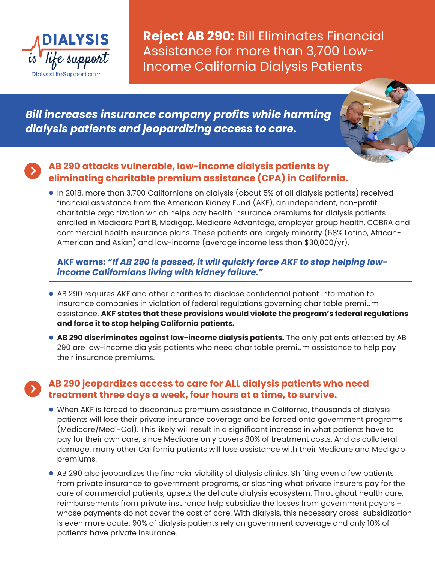

**Reject AB 290:** Bill Eliminates Financial Assistance for more than 3,700 Low-Income California Dialysis Patients

*Bill increases insurance company profits while harming dialysis patients and jeopardizing access to care.* 



# **AB 290 attacks vulnerable, low-income dialysis patients by eliminating charitable premium assistance (CPA) in California.**

 $\bullet$  In 2018, more than 3,700 Californians on dialysis (about 5% of all dialysis patients) received financial assistance from the American Kidney Fund (AKF), an independent, non-profit charitable organization which helps pay health insurance premiums for dialysis patients enrolled in Medicare Part B, Medigap, Medicare Advantage, employer group health, COBRA and commercial health insurance plans. These patients are largely minority (68% Latino, African-American and Asian) and low-income (average income less than \$30,000/yr).

### **AKF warns:** *"If AB 290 is passed, it will quickly force AKF to stop helping lowincome Californians living with kidney failure."*

- AB 290 requires AKF and other charities to disclose confidential patient information to insurance companies in violation of federal regulations governing charitable premium assistance. **AKF states that these provisions would violate the program's federal regulations and force it to stop helping California patients.**
- **AB 290 discriminates against low-income dialysis patients.** The only patients affected by AB 290 are low-income dialysis patients who need charitable premium assistance to help pay their insurance premiums.

## **AB 290 jeopardizes access to care for ALL dialysis patients who need treatment three days a week, four hours at a time, to survive.**

- **.** When AKF is forced to discontinue premium assistance in California, thousands of dialysis patients will lose their private insurance coverage and be forced onto government programs (Medicare/Medi-Cal). This likely will result in a significant increase in what patients have to pay for their own care, since Medicare only covers 80% of treatment costs. And as collateral damage, many other California patients will lose assistance with their Medicare and Medigap premiums.
- AB 290 also jeopardizes the financial viability of dialysis clinics. Shifting even a few patients from private insurance to government programs, or slashing what private insurers pay for the care of commercial patients, upsets the delicate dialysis ecosystem. Throughout health care, reimbursements from private insurance help subsidize the losses from government payors – whose payments do not cover the cost of care. With dialysis, this necessary cross-subsidization is even more acute. 90% of dialysis patients rely on government coverage and only 10% of patients have private insurance.